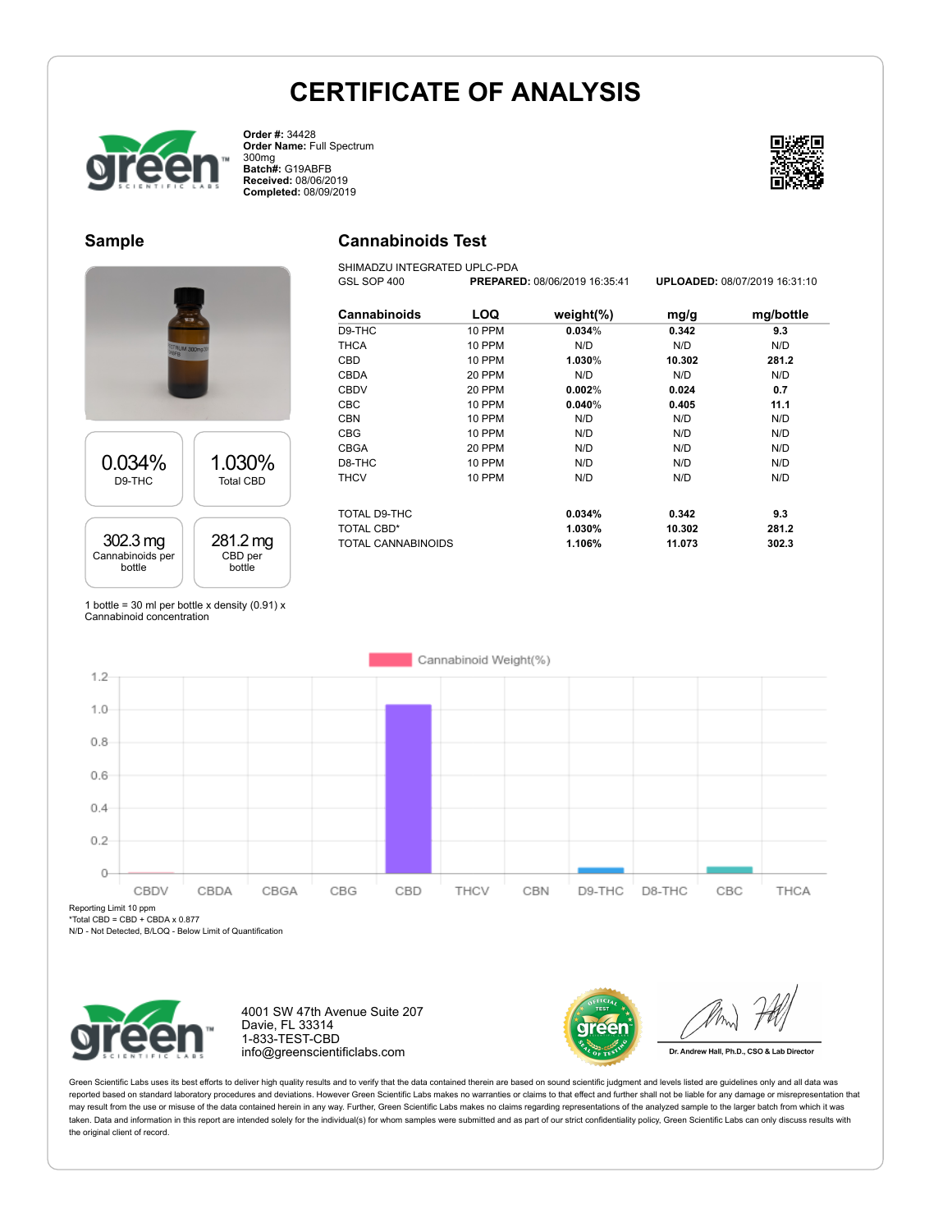**Cannabinoids Test** SHIMADZU INTEGRATED UPLC-PDA



**Order #:** 34428 **Order Name:** Full Spectrum 300mg **Batch#:** G19ABFB **Received:** 08/06/2019 **Completed:** 08/09/2019



### **Sample**





1 bottle = 30 ml per bottle x density  $(0.91)$  x Cannabinoid concentration

| <b>Cannabinoids</b>       | LOQ           | weight $(\%)$ | mg/g   | mg/bottle |
|---------------------------|---------------|---------------|--------|-----------|
| D9-THC                    | 10 PPM        | 0.034%        | 0.342  | 9.3       |
| <b>THCA</b>               | 10 PPM        | N/D           | N/D    | N/D       |
| CBD                       | 10 PPM        | 1.030%        | 10.302 | 281.2     |
| <b>CBDA</b>               | 20 PPM        | N/D           | N/D    | N/D       |
| <b>CBDV</b>               | 20 PPM        | $0.002\%$     | 0.024  | 0.7       |
| <b>CBC</b>                | 10 PPM        | 0.040%        | 0.405  | 11.1      |
| <b>CBN</b>                | 10 PPM        | N/D           | N/D    | N/D       |
| <b>CBG</b>                | <b>10 PPM</b> | N/D           | N/D    | N/D       |
| <b>CBGA</b>               | 20 PPM        | N/D           | N/D    | N/D       |
| D8-THC                    | 10 PPM        | N/D           | N/D    | N/D       |
| <b>THCV</b>               | 10 PPM        | N/D           | N/D    | N/D       |
| TOTAL D9-THC              |               | 0.034%        | 0.342  | 9.3       |
| <b>TOTAL CBD*</b>         |               | 1.030%        | 10.302 | 281.2     |
| <b>TOTAL CANNABINOIDS</b> |               | 1.106%        | 11.073 | 302.3     |

GSL SOP 400 **PREPARED:** 08/06/2019 16:35:41 **UPLOADED:** 08/07/2019 16:31:10



Reporting Limit 10 ppm

 $*Total CBD = CBD + CBDA x 0.877$ 

N/D - Not Detected, B/LOQ - Below Limit of Quantification



4001 SW 47th Avenue Suite 207 Davie, FL 33314 1-833-TEST-CBD info@greenscientificlabs.com



Dr. Andrew Hall, Ph.D., CSO & Lab Director

Green Scientific Labs uses its best efforts to deliver high quality results and to verify that the data contained therein are based on sound scientific judgment and levels listed are guidelines only and all data was reported based on standard laboratory procedures and deviations. However Green Scientific Labs makes no warranties or claims to that effect and further shall not be liable for any damage or misrepresentation that may result from the use or misuse of the data contained herein in any way. Further, Green Scientific Labs makes no claims regarding representations of the analyzed sample to the larger batch from which it was taken. Data and information in this report are intended solely for the individual(s) for whom samples were submitted and as part of our strict confidentiality policy, Green Scientific Labs can only discuss results with the original client of record.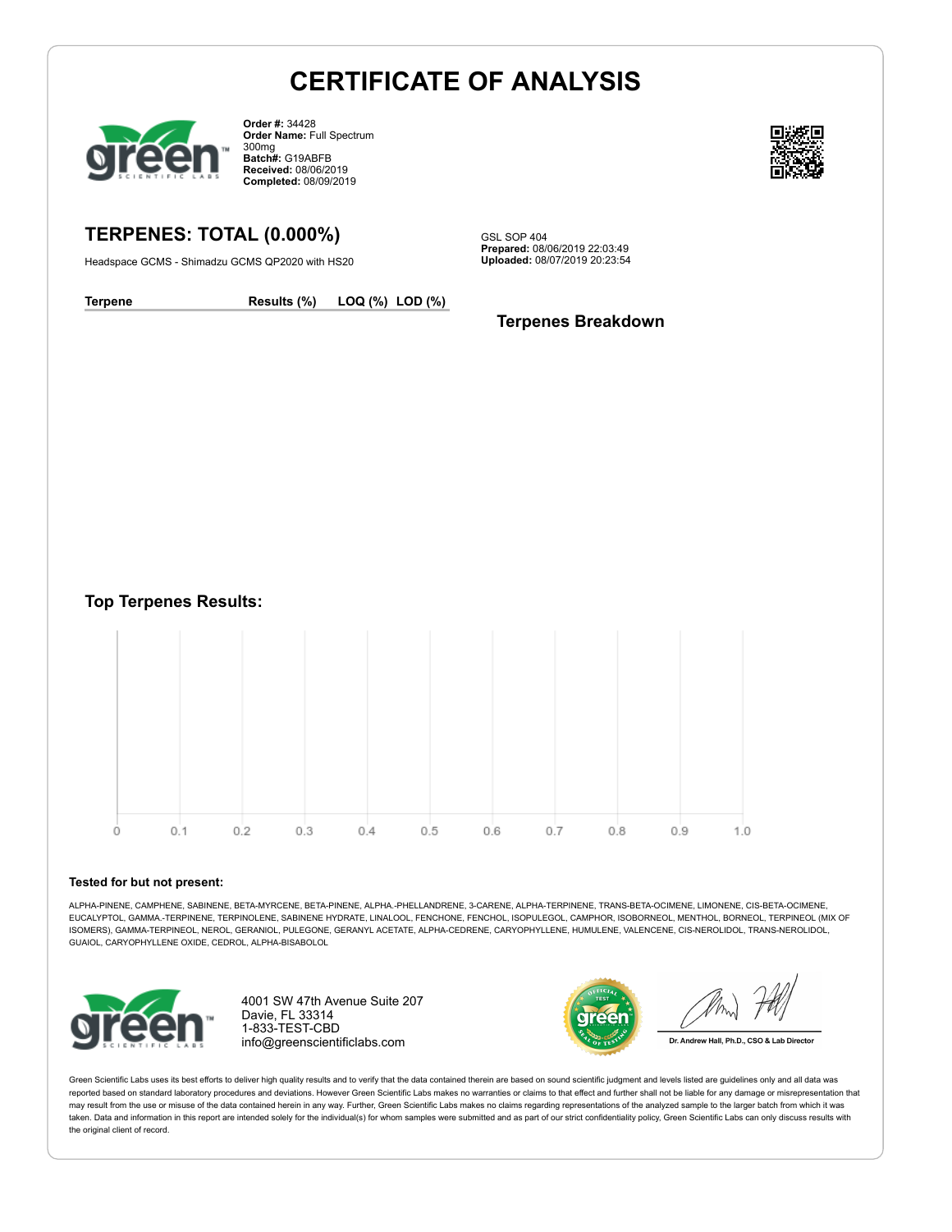

**Order #:** 34428 **Order Name:** Full Spectrum 300mg **Batch#:** G19ABFB **Received:** 08/06/2019 **Completed:** 08/09/2019



## **TERPENES: TOTAL (0.000%)**

Headspace GCMS - Shimadzu GCMS QP2020 with HS20

GSL SOP 404 **Prepared:** 08/06/2019 22:03:49 **Uploaded:** 08/07/2019 20:23:54

**Terpene Results (%) LOQ (%) LOD (%)**

### **Terpenes Breakdown**

**Top Terpenes Results:**



#### **Tested for but not present:**

ALPHA-PINENE, CAMPHENE, SABINENE, BETA-MYRCENE, BETA-PINENE, ALPHA.-PHELLANDRENE, 3-CARENE, ALPHA-TERPINENE, TRANS-BETA-OCIMENE, LIMONENE, CIS-BETA-OCIMENE, EUCALYPTOL, GAMMA.-TERPINENE, TERPINOLENE, SABINENE HYDRATE, LINALOOL, FENCHONE, FENCHOL, ISOPULEGOL, CAMPHOR, ISOBORNEOL, MENTHOL, BORNEOL, TERPINEOL (MIX OF ISOMERS), GAMMA-TERPINEOL, NEROL, GERANIOL, PULEGONE, GERANYL ACETATE, ALPHA-CEDRENE, CARYOPHYLLENE, HUMULENE, VALENCENE, CIS-NEROLIDOL, TRANS-NEROLIDOL, GUAIOL, CARYOPHYLLENE OXIDE, CEDROL, ALPHA-BISABOLOL



4001 SW 47th Avenue Suite 207 Davie, FL 33314 1-833-TEST-CBD info@greenscientificlabs.com



Dr. Andrew Hall, Ph.D., CSO & Lab Director

Green Scientific Labs uses its best efforts to deliver high quality results and to verify that the data contained therein are based on sound scientific judgment and levels listed are guidelines only and all data was reported based on standard laboratory procedures and deviations. However Green Scientific Labs makes no warranties or claims to that effect and further shall not be liable for any damage or misrepresentation that may result from the use or misuse of the data contained herein in any way. Further, Green Scientific Labs makes no claims regarding representations of the analyzed sample to the larger batch from which it was taken. Data and information in this report are intended solely for the individual(s) for whom samples were submitted and as part of our strict confidentiality policy. Green Scientific Labs can only discuss results with the original client of record.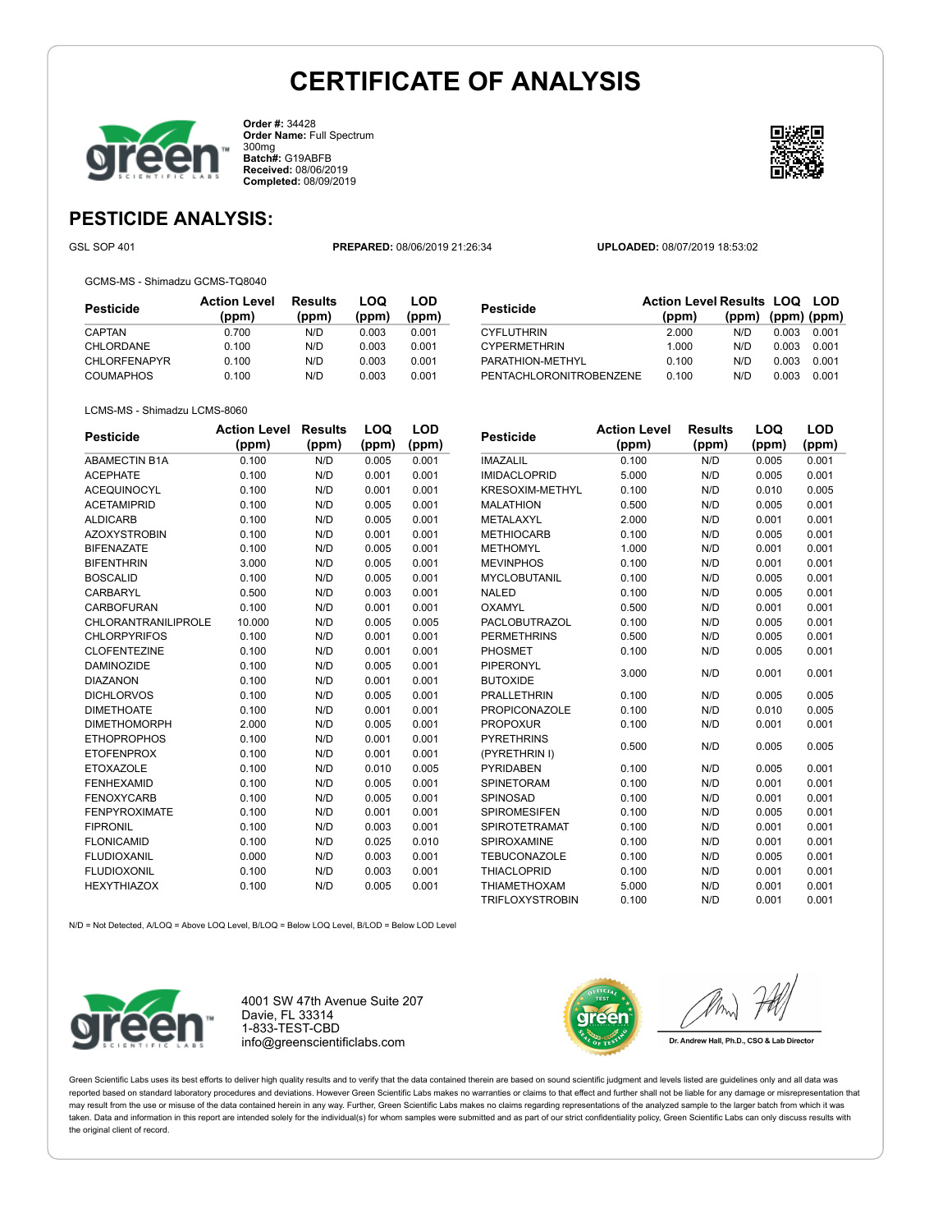

**Order #:** 34428 **Order Name:** Full Spectrum 300mg **Batch#:** G19ABFB **Received:** 08/06/2019 **Completed:** 08/09/2019



**LOD**

# **PESTICIDE ANALYSIS:**

GSL SOP 401 **PREPARED:** 08/06/2019 21:26:34 **UPLOADED:** 08/07/2019 18:53:02

GCMS-MS - Shimadzu GCMS-TQ8040

| <b>Pesticide</b>    | <b>Action Level</b><br>(ppm) | Results<br>(ppm) | LOQ<br>(ppm) | LOD<br>(ppm) |
|---------------------|------------------------------|------------------|--------------|--------------|
| CAPTAN              | 0.700                        | N/D              | 0.003        | 0.001        |
| CHLORDANE           | 0.100                        | N/D              | 0.003        | 0.001        |
| <b>CHLORFENAPYR</b> | 0.100                        | N/D              | 0.003        | 0.001        |
| <b>COUMAPHOS</b>    | 0.100                        | N/D              | 0.003        | 0.001        |

| <b>Pesticide</b>        | <b>Action Level Results LOQ LOD</b> |                         |       |       |
|-------------------------|-------------------------------------|-------------------------|-------|-------|
|                         | (ppm)                               | $(ppm)$ $(ppm)$ $(ppm)$ |       |       |
| <b>CYFLUTHRIN</b>       | 2.000                               | N/D                     | 0.003 | 0.001 |
| <b>CYPERMETHRIN</b>     | 1.000                               | N/D                     | 0.003 | 0.001 |
| PARATHION-METHYL        | 0.100                               | N/D                     | 0.003 | 0.001 |
| PENTACHLORONITROBENZENE | 0.100                               | N/D                     | 0.003 | 0.001 |

#### LCMS-MS - Shimadzu LCMS-8060

| <b>Pesticide</b>           | <b>Action Level</b> | <b>Results</b> | LOQ   | LOD   |
|----------------------------|---------------------|----------------|-------|-------|
|                            | (ppm)               | (ppm)          | (ppm) | (ppm) |
| <b>ABAMECTIN B1A</b>       | 0.100               | N/D            | 0.005 | 0.001 |
| <b>ACEPHATE</b>            | 0.100               | N/D            | 0.001 | 0.001 |
| <b>ACEQUINOCYL</b>         | 0.100               | N/D            | 0.001 | 0.001 |
| <b>ACETAMIPRID</b>         | 0.100               | N/D            | 0.005 | 0.001 |
| <b>ALDICARB</b>            | 0.100               | N/D            | 0.005 | 0.001 |
| <b>AZOXYSTROBIN</b>        | 0.100               | N/D            | 0.001 | 0.001 |
| <b>BIFENAZATE</b>          | 0.100               | N/D            | 0.005 | 0.001 |
| <b>BIFENTHRIN</b>          | 3.000               | N/D            | 0.005 | 0.001 |
| <b>BOSCALID</b>            | 0.100               | N/D            | 0.005 | 0.001 |
| <b>CARBARYL</b>            | 0.500               | N/D            | 0.003 | 0.001 |
| <b>CARBOFURAN</b>          | 0.100               | N/D            | 0.001 | 0.001 |
| <b>CHLORANTRANILIPROLE</b> | 10.000              | N/D            | 0.005 | 0.005 |
| <b>CHLORPYRIFOS</b>        | 0.100               | N/D            | 0.001 | 0.001 |
| <b>CLOFENTEZINE</b>        | 0.100               | N/D            | 0.001 | 0.001 |
| <b>DAMINOZIDE</b>          | 0.100               | N/D            | 0.005 | 0.001 |
| <b>DIAZANON</b>            | 0.100               | N/D            | 0.001 | 0.001 |
| <b>DICHLORVOS</b>          | 0.100               | N/D            | 0.005 | 0.001 |
| <b>DIMETHOATE</b>          | 0.100               | N/D            | 0.001 | 0.001 |
| <b>DIMETHOMORPH</b>        | 2.000               | N/D            | 0.005 | 0.001 |
| <b>ETHOPROPHOS</b>         | 0.100               | N/D            | 0.001 | 0.001 |
| <b>ETOFENPROX</b>          | 0.100               | N/D            | 0.001 | 0.001 |
| <b>ETOXAZOLE</b>           | 0.100               | N/D            | 0.010 | 0.005 |
| <b>FENHEXAMID</b>          | 0.100               | N/D            | 0.005 | 0.001 |
| <b>FENOXYCARB</b>          | 0.100               | N/D            | 0.005 | 0.001 |
| <b>FENPYROXIMATE</b>       | 0.100               | N/D            | 0.001 | 0.001 |
| <b>FIPRONIL</b>            | 0.100               | N/D            | 0.003 | 0.001 |
| <b>FLONICAMID</b>          | 0.100               | N/D            | 0.025 | 0.010 |
| <b>FLUDIOXANIL</b>         | 0.000               | N/D            | 0.003 | 0.001 |
| <b>FLUDIOXONIL</b>         | 0.100               | N/D            | 0.003 | 0.001 |
| <b>HEXYTHIAZOX</b>         | 0.100               | N/D            | 0.005 | 0.001 |

| Pesticide              | <b>Action Level</b> | <b>Results</b> | LOQ   | LOD   |
|------------------------|---------------------|----------------|-------|-------|
|                        | (ppm)               | (ppm)          | (ppm) | (ppm) |
| <b>IMAZALIL</b>        | 0.100               | N/D            | 0.005 | 0.001 |
| <b>IMIDACLOPRID</b>    | 5.000               | N/D            | 0.005 | 0.001 |
| <b>KRESOXIM-METHYL</b> | 0.100               | N/D            | 0.010 | 0.005 |
| <b>MALATHION</b>       | 0.500               | N/D            | 0.005 | 0.001 |
| METALAXYL              | 2.000               | N/D            | 0.001 | 0.001 |
| <b>METHIOCARB</b>      | 0.100               | N/D            | 0.005 | 0.001 |
| <b>METHOMYL</b>        | 1.000               | N/D            | 0.001 | 0.001 |
| <b>MEVINPHOS</b>       | 0.100               | N/D            | 0.001 | 0.001 |
| <b>MYCLOBUTANIL</b>    | 0.100               | N/D            | 0.005 | 0.001 |
| <b>NALED</b>           | 0.100               | N/D            | 0.005 | 0.001 |
| <b>OXAMYL</b>          | 0.500               | N/D            | 0.001 | 0.001 |
| <b>PACLOBUTRAZOL</b>   | 0.100               | N/D            | 0.005 | 0.001 |
| <b>PERMETHRINS</b>     | 0.500               | N/D            | 0.005 | 0.001 |
| <b>PHOSMET</b>         | 0.100               | N/D            | 0.005 | 0.001 |
| <b>PIPERONYL</b>       | 3.000               | N/D            | 0.001 | 0.001 |
| <b>BUTOXIDE</b>        |                     |                |       |       |
| <b>PRALLETHRIN</b>     | 0.100               | N/D            | 0.005 | 0.005 |
| <b>PROPICONAZOLE</b>   | 0.100               | N/D            | 0.010 | 0.005 |
| <b>PROPOXUR</b>        | 0.100               | N/D            | 0.001 | 0.001 |
| <b>PYRETHRINS</b>      |                     | N/D            | 0.005 |       |
| (PYRETHRIN I)          | 0.500               |                |       | 0.005 |
| <b>PYRIDABEN</b>       | 0.100               | N/D            | 0.005 | 0.001 |
| <b>SPINETORAM</b>      | 0.100               | N/D            | 0.001 | 0.001 |
| <b>SPINOSAD</b>        | 0.100               | N/D            | 0.001 | 0.001 |
| <b>SPIROMESIFEN</b>    | 0.100               | N/D            | 0.005 | 0.001 |
| SPIROTETRAMAT          | 0.100               | N/D            | 0.001 | 0.001 |
| <b>SPIROXAMINE</b>     | 0.100               | N/D            | 0.001 | 0.001 |
| <b>TEBUCONAZOLE</b>    | 0.100               | N/D            | 0.005 | 0.001 |

THIACLOPRID 0.100 N/D 0.001 0.001 THIAMETHOXAM 5.000 N/D 0.001 0.001 TRIFLOXYSTROBIN 0.100 N/D 0.001 0.001

N/D = Not Detected, A/LOQ = Above LOQ Level, B/LOQ = Below LOQ Level, B/LOD = Below LOD Level



4001 SW 47th Avenue Suite 207 Davie, FL 33314 1-833-TEST-CBD info@greenscientificlabs.com



Dr. Andrew Hall, Ph.D., CSO & Lab Director

Green Scientific Labs uses its best efforts to deliver high quality results and to verify that the data contained therein are based on sound scientific judgment and levels listed are guidelines only and all data was reported based on standard laboratory procedures and deviations. However Green Scientific Labs makes no warranties or claims to that effect and further shall not be liable for any damage or misrepresentation that may result from the use or misuse of the data contained herein in any way. Further, Green Scientific Labs makes no claims regarding representations of the analyzed sample to the larger batch from which it was taken. Data and information in this report are intended solely for the individual(s) for whom samples were submitted and as part of our strict confidentiality policy, Green Scientific Labs can only discuss results with the original client of record.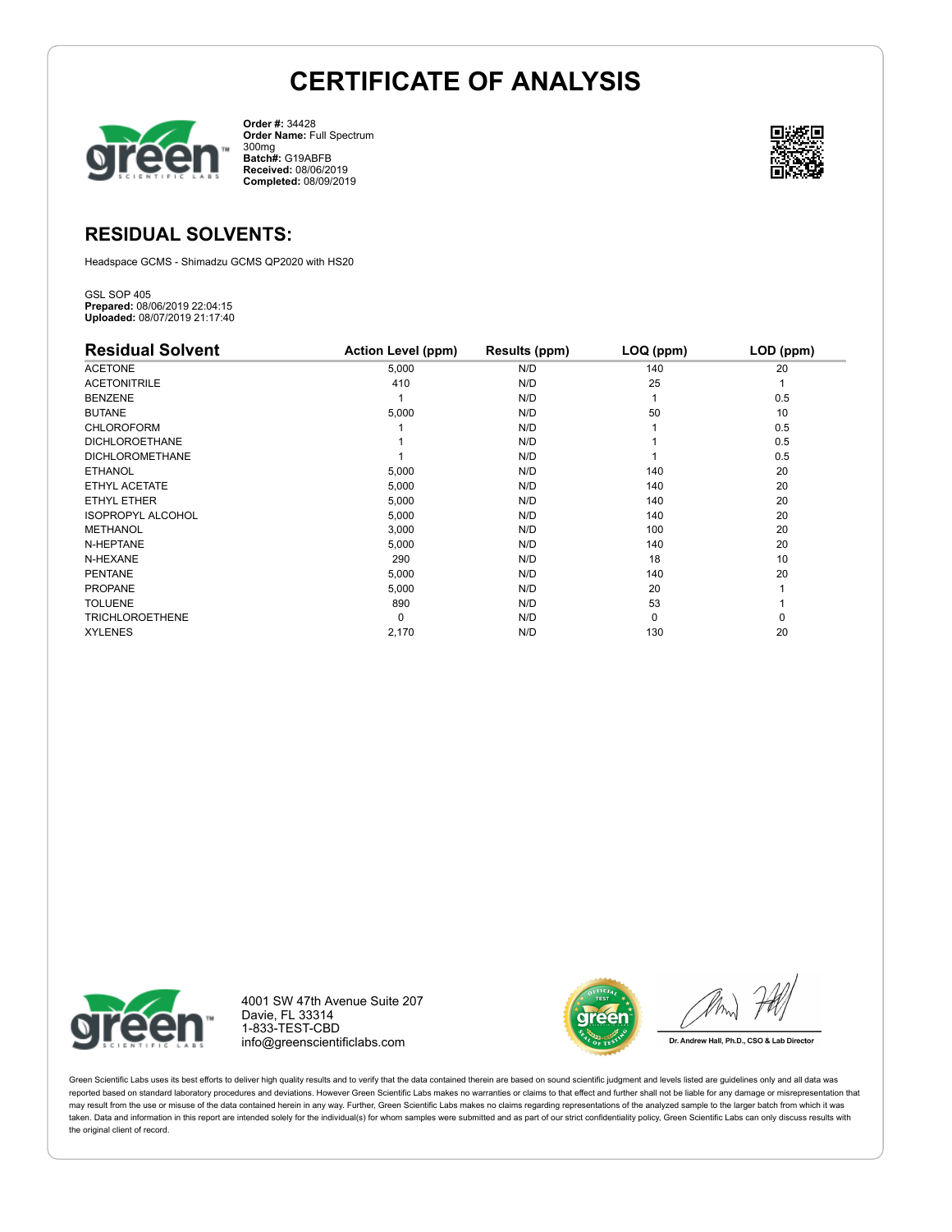

**Order #:** 34428 **Order Name:** Full Spectrum 300mg **Batch#:** G19ABFB **Received:** 08/06/2019 **Completed:** 08/09/2019



## **RESIDUAL SOLVENTS:**

Headspace GCMS - Shimadzu GCMS QP2020 with HS20

GSL SOP 405 **Prepared:** 08/06/2019 22:04:15 **Uploaded:** 08/07/2019 21:17:40

| <b>Residual Solvent</b>  | <b>Action Level (ppm)</b> | Results (ppm) | LOQ (ppm) | LOD (ppm) |
|--------------------------|---------------------------|---------------|-----------|-----------|
| <b>ACETONE</b>           | 5,000                     | N/D           | 140       | 20        |
| <b>ACETONITRILE</b>      | 410                       | N/D           | 25        |           |
| <b>BENZENE</b>           |                           | N/D           |           | 0.5       |
| <b>BUTANE</b>            | 5,000                     | N/D           | 50        | 10        |
| <b>CHLOROFORM</b>        |                           | N/D           |           | 0.5       |
| <b>DICHLOROETHANE</b>    |                           | N/D           |           | 0.5       |
| <b>DICHLOROMETHANE</b>   |                           | N/D           |           | 0.5       |
| <b>ETHANOL</b>           | 5,000                     | N/D           | 140       | 20        |
| ETHYL ACETATE            | 5,000                     | N/D           | 140       | 20        |
| ETHYL ETHER              | 5,000                     | N/D           | 140       | 20        |
| <b>ISOPROPYL ALCOHOL</b> | 5,000                     | N/D           | 140       | 20        |
| <b>METHANOL</b>          | 3,000                     | N/D           | 100       | 20        |
| N-HEPTANE                | 5,000                     | N/D           | 140       | 20        |
| N-HEXANE                 | 290                       | N/D           | 18        | 10        |
| <b>PENTANE</b>           | 5,000                     | N/D           | 140       | 20        |
| <b>PROPANE</b>           | 5,000                     | N/D           | 20        |           |
| <b>TOLUENE</b>           | 890                       | N/D           | 53        |           |
| <b>TRICHLOROETHENE</b>   | $\Omega$                  | N/D           | 0         | 0         |
| <b>XYLENES</b>           | 2,170                     | N/D           | 130       | 20        |



4001 SW 47th Avenue Suite 207 Davie, FL 33314 1-833-TEST-CBD info@greenscientificlabs.com



Dr. Andrew Hall, Ph.D., CSO & Lab Director

Green Scientific Labs uses its best efforts to deliver high quality results and to verify that the data contained therein are based on sound scientific judgment and levels listed are guidelines only and all data was reported based on standard laboratory procedures and deviations. However Green Scientific Labs makes no warranties or claims to that effect and further shall not be liable for any damage or misrepresentation that may result from the use or misuse of the data contained herein in any way. Further, Green Scientific Labs makes no claims regarding representations of the analyzed sample to the larger batch from which it was taken. Data and information in this report are intended solely for the individual(s) for whom samples were submitted and as part of our strict confidentiality policy, Green Scientific Labs can only discuss results with the original client of record.